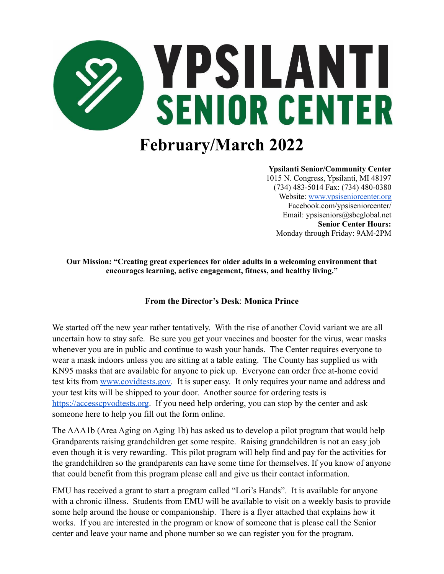

# **February/March 2022**

#### **Ypsilanti Senior/Community Center**

1015 N. Congress, Ypsilanti, MI 48197 (734) 483-5014 Fax: (734) 480-0380 Website: [www.ypsiseniorcenter.org](http://www.ypsiseniorcenter.org) Facebook.com/ypsiseniorcenter/ Email: ypsiseniors@sbcglobal.net **Senior Center Hours:** Monday through Friday: 9AM-2PM

**Our Mission: "Creating great experiences for older adults in a welcoming environment that encourages learning, active engagement, fitness, and healthy living."**

## **From the Director's Desk**: **Monica Prince**

We started off the new year rather tentatively. With the rise of another Covid variant we are all uncertain how to stay safe. Be sure you get your vaccines and booster for the virus, wear masks whenever you are in public and continue to wash your hands. The Center requires everyone to wear a mask indoors unless you are sitting at a table eating. The County has supplied us with KN95 masks that are available for anyone to pick up. Everyone can order free at-home covid test kits from [www.covidtests.gov.](http://www.covidtests.gov) It is super easy. It only requires your name and address and your test kits will be shipped to your door. Another source for ordering tests is <https://accesscpvodtests.org>. If you need help ordering, you can stop by the center and ask someone here to help you fill out the form online.

The AAA1b (Area Aging on Aging 1b) has asked us to develop a pilot program that would help Grandparents raising grandchildren get some respite. Raising grandchildren is not an easy job even though it is very rewarding. This pilot program will help find and pay for the activities for the grandchildren so the grandparents can have some time for themselves. If you know of anyone that could benefit from this program please call and give us their contact information.

EMU has received a grant to start a program called "Lori's Hands". It is available for anyone with a chronic illness. Students from EMU will be available to visit on a weekly basis to provide some help around the house or companionship. There is a flyer attached that explains how it works. If you are interested in the program or know of someone that is please call the Senior center and leave your name and phone number so we can register you for the program.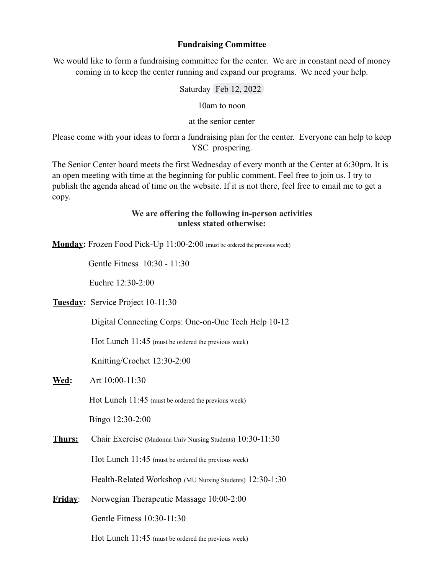#### **Fundraising Committee**

We would like to form a fundraising committee for the center. We are in constant need of money coming in to keep the center running and expand our programs. We need your help.

Saturday Feb 12, 2022

10am to noon

at the senior center

Please come with your ideas to form a fundraising plan for the center. Everyone can help to keep YSC prospering.

The Senior Center board meets the first Wednesday of every month at the Center at 6:30pm. It is an open meeting with time at the beginning for public comment. Feel free to join us. I try to publish the agenda ahead of time on the website. If it is not there, feel free to email me to get a copy.

### **We are offering the following in-person activities unless stated otherwise:**

**Monday:** Frozen Food Pick-Up 11:00-2:00 (must be ordered the previous week)

Gentle Fitness 10:30 - 11:30

Euchre 12:30-2:00

**Tuesday:** Service Project 10-11:30

Digital Connecting Corps: One-on-One Tech Help 10-12

Hot Lunch 11:45 (must be ordered the previous week)

Knitting/Crochet 12:30-2:00

**Wed:** Art 10:00-11:30

Hot Lunch 11:45 (must be ordered the previous week)

Bingo 12:30-2:00

**Thurs:** Chair Exercise (Madonna Univ Nursing Students) 10:30-11:30 Hot Lunch 11:45 (must be ordered the previous week)

Health-Related Workshop (MU Nursing Students) 12:30-1:30

**Friday**: Norwegian Therapeutic Massage 10:00-2:00 Gentle Fitness 10:30-11:30

Hot Lunch 11:45 (must be ordered the previous week)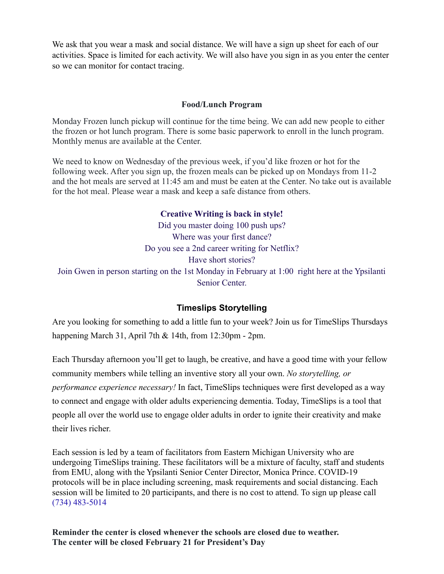We ask that you wear a mask and social distance. We will have a sign up sheet for each of our activities. Space is limited for each activity. We will also have you sign in as you enter the center so we can monitor for contact tracing.

#### **Food/Lunch Program**

Monday Frozen lunch pickup will continue for the time being. We can add new people to either the frozen or hot lunch program. There is some basic paperwork to enroll in the lunch program. Monthly menus are available at the Center.

We need to know on Wednesday of the previous week, if you'd like frozen or hot for the following week. After you sign up, the frozen meals can be picked up on Mondays from 11-2 and the hot meals are served at 11:45 am and must be eaten at the Center. No take out is available for the hot meal. Please wear a mask and keep a safe distance from others.

#### **Creative Writing is back in style!**

Did you master doing 100 push ups? Where was your first dance? Do you see a 2nd career writing for Netflix? Have short stories? Join Gwen in person starting on the 1st Monday in February at 1:00 right here at the Ypsilanti Senior Center.

# **Timeslips Storytelling**

Are you looking for something to add a little fun to your week? Join us for TimeSlips Thursdays happening March 31, April 7th & 14th, from 12:30pm - 2pm.

Each Thursday afternoon you'll get to laugh, be creative, and have a good time with your fellow community members while telling an inventive story all your own. *No storytelling, or performance experience necessary!* In fact, TimeSlips techniques were first developed as a way to connect and engage with older adults experiencing dementia. Today, TimeSlips is a tool that people all over the world use to engage older adults in order to ignite their creativity and make their lives richer.

Each session is led by a team of facilitators from Eastern Michigan University who are undergoing TimeSlips training. These facilitators will be a mixture of faculty, staff and students from EMU, along with the Ypsilanti Senior Center Director, Monica Prince. COVID-19 protocols will be in place including screening, mask requirements and social distancing. Each session will be limited to 20 participants, and there is no cost to attend. To sign up please call [\(734\) 483-5014](https://www.google.com/search?q=ypsilanti+senior+center&oq=ypsilanti+senior+center&aqs=chrome..69i57j46i175i199i512l2j0i22i30l2j0i22i30i457.3750j0j7&sourceid=chrome&ie=UTF-8#)

**Reminder the center is closed whenever the schools are closed due to weather. The center will be closed February 21 for President's Day**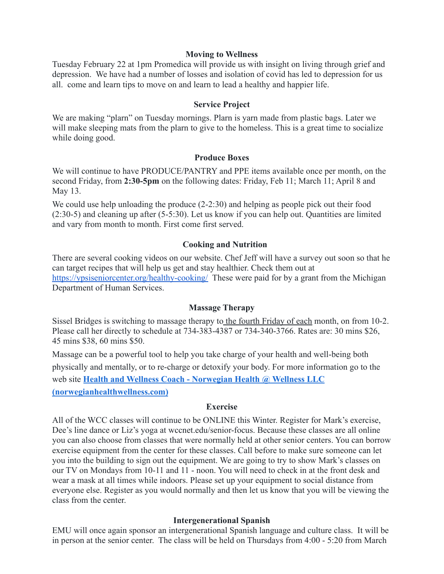#### **Moving to Wellness**

Tuesday February 22 at 1pm Promedica will provide us with insight on living through grief and depression. We have had a number of losses and isolation of covid has led to depression for us all. come and learn tips to move on and learn to lead a healthy and happier life.

#### **Service Project**

We are making "plarn" on Tuesday mornings. Plarn is yarn made from plastic bags. Later we will make sleeping mats from the plarn to give to the homeless. This is a great time to socialize while doing good.

#### **Produce Boxes**

We will continue to have PRODUCE/PANTRY and PPE items available once per month, on the second Friday, from **2:30-5pm** on the following dates: Friday, Feb 11; March 11; April 8 and May 13.

We could use help unloading the produce  $(2-2:30)$  and helping as people pick out their food (2:30-5) and cleaning up after (5-5:30). Let us know if you can help out. Quantities are limited and vary from month to month. First come first served.

#### **Cooking and Nutrition**

There are several cooking videos on our website. Chef Jeff will have a survey out soon so that he can target recipes that will help us get and stay healthier. Check them out at <https://ypsiseniorcenter.org/healthy-cooking/> These were paid for by a grant from the Michigan Department of Human Services.

## **Massage Therapy**

Sissel Bridges is switching to massage therapy to the fourth Friday of each month, on from 10-2. Please call her directly to schedule at 734-383-4387 or 734-340-3766. Rates are: 30 mins \$26, 45 mins \$38, 60 mins \$50.

Massage can be a powerful tool to help you take charge of your health and well-being both physically and mentally, or to re-charge or detoxify your body. For more information go to the web site **[Health and Wellness Coach - Norwegian Health](https://norwegianhealthwellness.com/) @ Wellness LLC [\(norwegianhealthwellness.com\)](https://norwegianhealthwellness.com/)**

#### **Exercise**

All of the WCC classes will continue to be ONLINE this Winter. Register for Mark's exercise, Dee's line dance or Liz's yoga at wccnet.edu/senior-focus. Because these classes are all online you can also choose from classes that were normally held at other senior centers. You can borrow exercise equipment from the center for these classes. Call before to make sure someone can let you into the building to sign out the equipment. We are going to try to show Mark's classes on our TV on Mondays from 10-11 and 11 - noon. You will need to check in at the front desk and wear a mask at all times while indoors. Please set up your equipment to social distance from everyone else. Register as you would normally and then let us know that you will be viewing the class from the center.

#### **Intergenerational Spanish**

EMU will once again sponsor an intergenerational Spanish language and culture class. It will be in person at the senior center. The class will be held on Thursdays from 4:00 - 5:20 from March